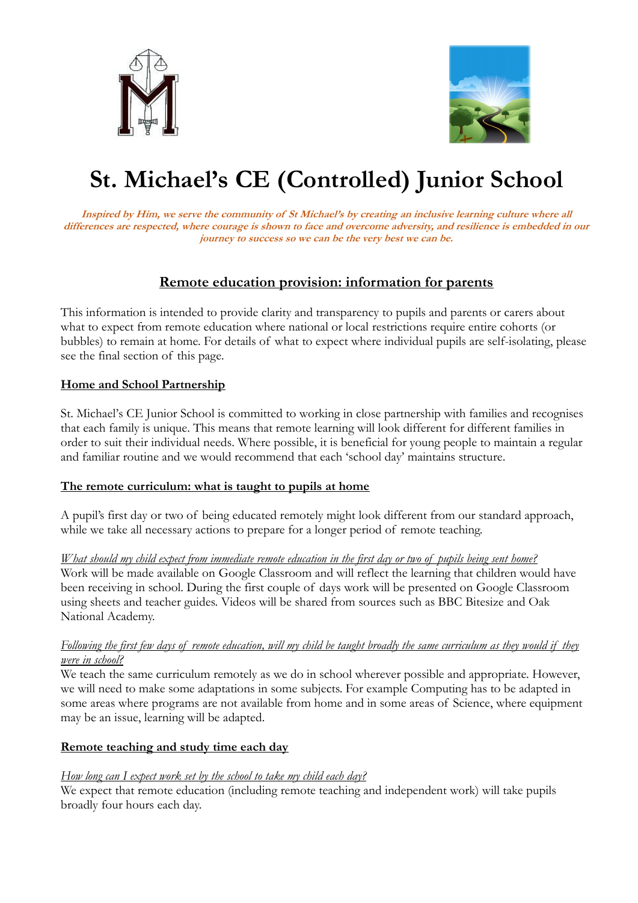



# **St. Michael's CE (Controlled) Junior School**

**Inspired by Him, we serve the community of St Michael's by creating an inclusive learning culture where all differences are respected, where courage is shown to face and overcome adversity, and resilience is embedded in our journey to success so we can be the very best we can be.**

## **Remote education provision: information for parents**

This information is intended to provide clarity and transparency to pupils and parents or carers about what to expect from remote education where national or local restrictions require entire cohorts (or bubbles) to remain at home. For details of what to expect where individual pupils are self-isolating, please see the final section of this page.

#### **Home and School Partnership**

St. Michael's CE Junior School is committed to working in close partnership with families and recognises that each family is unique. This means that remote learning will look different for different families in order to suit their individual needs. Where possible, it is beneficial for young people to maintain a regular and familiar routine and we would recommend that each 'school day' maintains structure.

#### **The remote curriculum: what is taught to pupils at home**

A pupil's first day or two of being educated remotely might look different from our standard approach, while we take all necessary actions to prepare for a longer period of remote teaching.

*What should my child expect from immediate remote education in the first day or two of pupils being sent home?* Work will be made available on Google Classroom and will reflect the learning that children would have been receiving in school. During the first couple of days work will be presented on Google Classroom using sheets and teacher guides. Videos will be shared from sources such as BBC Bitesize and Oak National Academy.

#### *Following the first few days of remote education, will my child be taught broadly the same curriculum as they would if they were in school?*

We teach the same curriculum remotely as we do in school wherever possible and appropriate. However, we will need to make some adaptations in some subjects. For example Computing has to be adapted in some areas where programs are not available from home and in some areas of Science, where equipment may be an issue, learning will be adapted.

#### **Remote teaching and study time each day**

#### *How long can I expect work set by the school to take my child each day?*

We expect that remote education (including remote teaching and independent work) will take pupils broadly four hours each day.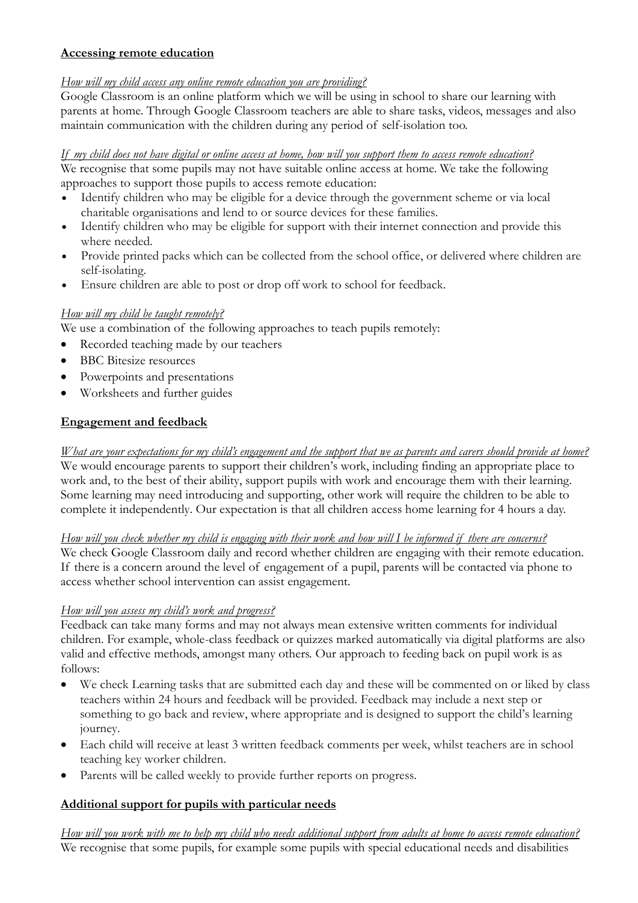#### **Accessing remote education**

## *How will my child access any online remote education you are providing?*

Google Classroom is an online platform which we will be using in school to share our learning with parents at home. Through Google Classroom teachers are able to share tasks, videos, messages and also maintain communication with the children during any period of self-isolation too.

## *If my child does not have digital or online access at home, how will you support them to access remote education?*

We recognise that some pupils may not have suitable online access at home. We take the following approaches to support those pupils to access remote education:

- Identify children who may be eligible for a device through the government scheme or via local charitable organisations and lend to or source devices for these families.
- Identify children who may be eligible for support with their internet connection and provide this where needed.
- Provide printed packs which can be collected from the school office, or delivered where children are self-isolating.
- Ensure children are able to post or drop off work to school for feedback.

## *How will my child be taught remotely?*

We use a combination of the following approaches to teach pupils remotely:

- Recorded teaching made by our teachers
- BBC Bitesize resources
- Powerpoints and presentations
- Worksheets and further guides

## **Engagement and feedback**

*What are your expectations for my child's engagement and the support that we as parents and carers should provide at home?* We would encourage parents to support their children's work, including finding an appropriate place to work and, to the best of their ability, support pupils with work and encourage them with their learning. Some learning may need introducing and supporting, other work will require the children to be able to complete it independently. Our expectation is that all children access home learning for 4 hours a day.

*How will you check whether my child is engaging with their work and how will I be informed if there are concerns?* We check Google Classroom daily and record whether children are engaging with their remote education. If there is a concern around the level of engagement of a pupil, parents will be contacted via phone to access whether school intervention can assist engagement.

#### *How will you assess my child's work and progress?*

Feedback can take many forms and may not always mean extensive written comments for individual children. For example, whole-class feedback or quizzes marked automatically via digital platforms are also valid and effective methods, amongst many others. Our approach to feeding back on pupil work is as follows:

- We check Learning tasks that are submitted each day and these will be commented on or liked by class teachers within 24 hours and feedback will be provided. Feedback may include a next step or something to go back and review, where appropriate and is designed to support the child's learning journey.
- Each child will receive at least 3 written feedback comments per week, whilst teachers are in school teaching key worker children.
- Parents will be called weekly to provide further reports on progress.

## **Additional support for pupils with particular needs**

*How will you work with me to help my child who needs additional support from adults at home to access remote education?* We recognise that some pupils, for example some pupils with special educational needs and disabilities